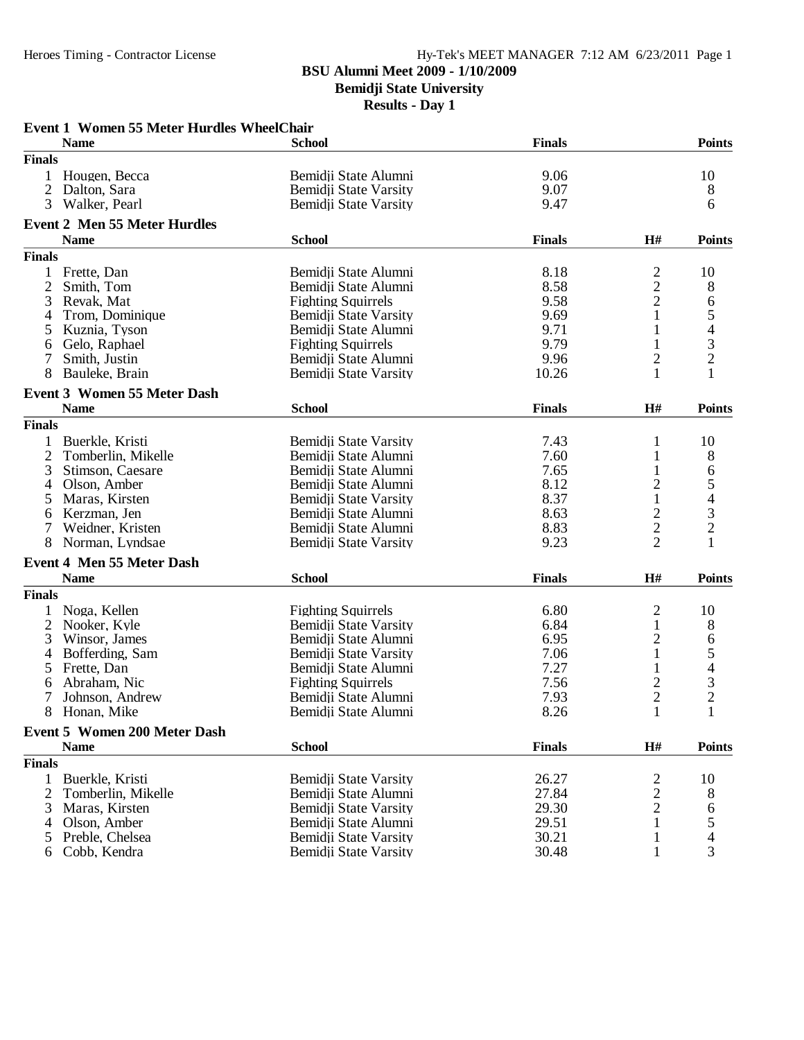**Bemidji State University**

|                | <b>Event 1 Women 55 Meter Hurdles WheelChair</b> |                           |               |                                  |                                                 |
|----------------|--------------------------------------------------|---------------------------|---------------|----------------------------------|-------------------------------------------------|
|                | <b>Name</b>                                      | <b>School</b>             | <b>Finals</b> |                                  | <b>Points</b>                                   |
| <b>Finals</b>  |                                                  |                           |               |                                  |                                                 |
|                | Hougen, Becca                                    | Bemidji State Alumni      | 9.06          |                                  | 10                                              |
| 2              | Dalton, Sara                                     | Bemidji State Varsity     | 9.07          |                                  | 8                                               |
| 3              | Walker, Pearl                                    | Bemidji State Varsity     | 9.47          |                                  | 6                                               |
|                | <b>Event 2 Men 55 Meter Hurdles</b>              |                           |               |                                  |                                                 |
|                | <b>Name</b>                                      | <b>School</b>             | <b>Finals</b> | H#                               | <b>Points</b>                                   |
| <b>Finals</b>  |                                                  |                           |               |                                  |                                                 |
|                |                                                  |                           |               |                                  |                                                 |
|                | 1 Frette, Dan                                    | Bemidji State Alumni      | 8.18          | 2                                | 10                                              |
| 2              | Smith, Tom                                       | Bemidji State Alumni      | 8.58          | $\overline{c}$                   | 8                                               |
| 3              | Revak, Mat                                       | <b>Fighting Squirrels</b> | 9.58          | $\overline{c}$                   | 6                                               |
| 4              | Trom, Dominique                                  | Bemidji State Varsity     | 9.69          | $\mathbf{1}$                     | 5432                                            |
| 5              | Kuznia, Tyson                                    | Bemidji State Alumni      | 9.71          |                                  |                                                 |
| 6              | Gelo, Raphael                                    | <b>Fighting Squirrels</b> | 9.79          |                                  |                                                 |
| 7              | Smith, Justin                                    | Bemidji State Alumni      | 9.96          | 2                                |                                                 |
| 8              | Bauleke, Brain                                   | Bemidji State Varsity     | 10.26         | 1                                | 1                                               |
|                | <b>Event 3 Women 55 Meter Dash</b>               |                           |               |                                  |                                                 |
|                | <b>Name</b>                                      | <b>School</b>             | <b>Finals</b> | H#                               | <b>Points</b>                                   |
| <b>Finals</b>  |                                                  |                           |               |                                  |                                                 |
| 1              | Buerkle, Kristi                                  | Bemidji State Varsity     | 7.43          | 1                                | 10                                              |
| $\overline{c}$ | Tomberlin, Mikelle                               | Bemidji State Alumni      | 7.60          |                                  | 8                                               |
| 3              | Stimson, Caesare                                 | Bemidji State Alumni      | 7.65          |                                  | 6                                               |
| 4              | Olson, Amber                                     | Bemidji State Alumni      | 8.12          | $\overline{c}$                   |                                                 |
| 5              | Maras, Kirsten                                   | Bemidji State Varsity     | 8.37          | $\mathbf{1}$                     | $\frac{5}{4}$<br>$\frac{3}{2}$                  |
| 6              | Kerzman, Jen                                     | Bemidji State Alumni      | 8.63          |                                  |                                                 |
|                | Weidner, Kristen                                 | Bemidji State Alumni      | 8.83          | $\frac{2}{2}$                    |                                                 |
| 8              | Norman, Lyndsae                                  | Bemidji State Varsity     | 9.23          | $\overline{2}$                   |                                                 |
|                | <b>Event 4 Men 55 Meter Dash</b>                 |                           |               |                                  |                                                 |
|                | <b>Name</b>                                      | <b>School</b>             | <b>Finals</b> | H#                               | <b>Points</b>                                   |
| <b>Finals</b>  |                                                  |                           |               |                                  |                                                 |
|                |                                                  |                           | 6.80          |                                  |                                                 |
|                | Noga, Kellen                                     | <b>Fighting Squirrels</b> |               | $\overline{c}$                   | 10                                              |
| 2              | Nooker, Kyle                                     | Bemidji State Varsity     | 6.84          | $\mathbf{1}$                     | 8                                               |
| 3              | Winsor, James                                    | Bemidji State Alumni      | 6.95          | $\overline{c}$                   | 6                                               |
| 4              | Bofferding, Sam                                  | Bemidji State Varsity     | 7.06          | $\mathbf{1}$                     | $\begin{array}{c} 5 \\ 4 \\ 3 \\ 2 \end{array}$ |
| 5              | Frette, Dan                                      | Bemidji State Alumni      | 7.27          |                                  |                                                 |
| 6              | Abraham, Nic                                     | <b>Fighting Squirrels</b> | 7.56          | $\overline{c}$<br>$\overline{2}$ |                                                 |
|                | Johnson, Andrew                                  | Bemidji State Alumni      | 7.93          |                                  |                                                 |
|                | 8 Honan, Mike                                    | Bemidii State Alumni      | 8.26          | $\mathbf{1}$                     | $\mathbf{1}$                                    |
|                | <b>Event 5 Women 200 Meter Dash</b>              |                           |               |                                  |                                                 |
|                | <b>Name</b>                                      | <b>School</b>             | <b>Finals</b> | H#                               | <b>Points</b>                                   |
| <b>Finals</b>  |                                                  |                           |               |                                  |                                                 |
| 1              | Buerkle, Kristi                                  | Bemidji State Varsity     | 26.27         | 2                                | 10                                              |
| 2              | Tomberlin, Mikelle                               | Bemidji State Alumni      | 27.84         | $\overline{c}$                   | 8                                               |
| 3              | Maras, Kirsten                                   | Bemidji State Varsity     | 29.30         | $\overline{2}$                   | 6                                               |
| 4              | Olson, Amber                                     | Bemidji State Alumni      | 29.51         | 1                                |                                                 |
| 5              | Preble, Chelsea                                  | Bemidii State Varsity     | 30.21         | 1                                | 5<br>4<br>3                                     |
| 6              | Cobb, Kendra                                     | Bemidji State Varsity     | 30.48         | 1                                |                                                 |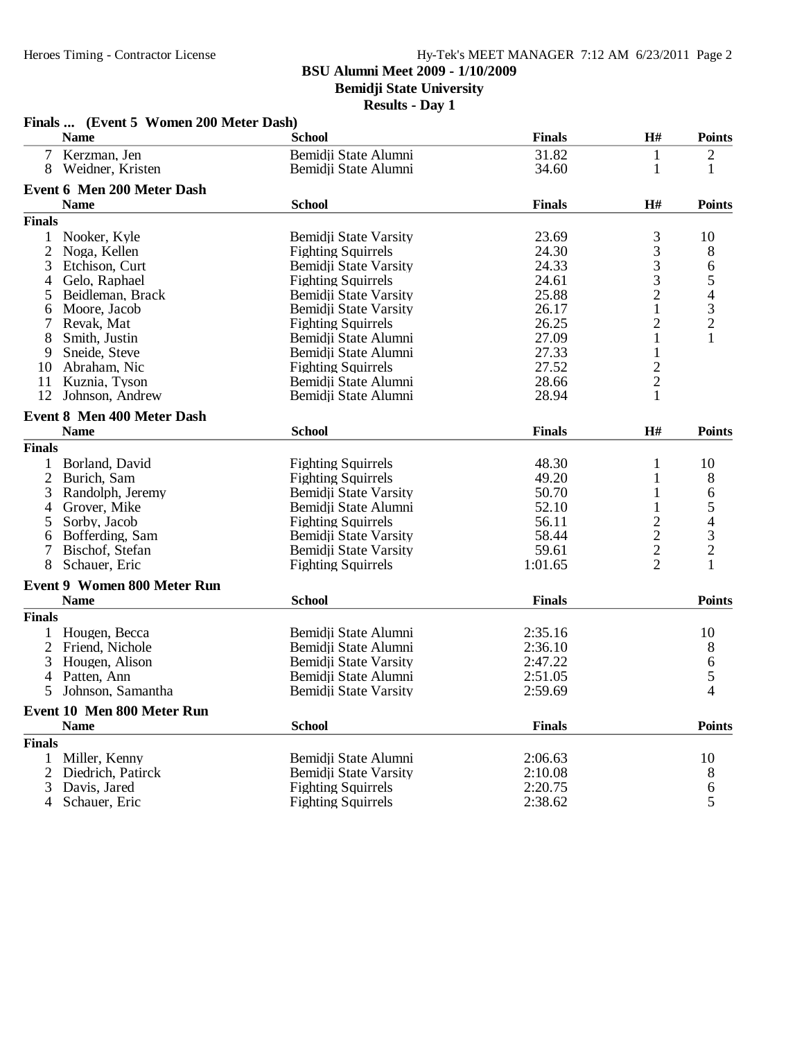**Bemidji State University**

| H#<br><b>Name</b><br><b>School</b><br><b>Finals</b><br>Kerzman, Jen<br>Bemidji State Alumni<br>31.82<br>$\frac{2}{1}$<br>7<br>1<br>Weidner, Kristen<br>34.60<br>1<br>8<br>Bemidji State Alumni<br><b>Event 6 Men 200 Meter Dash</b><br><b>Name</b><br><b>School</b><br><b>Finals</b><br>H#<br><b>Finals</b><br>3<br>1<br>Nooker, Kyle<br>Bemidji State Varsity<br>23.69<br>10<br>3<br>$\overline{c}$<br>24.30<br>8<br>Noga, Kellen<br><b>Fighting Squirrels</b><br>$\frac{3}{3}$<br>3<br>24.33<br>65432<br>Etchison, Curt<br>Bemidji State Varsity<br>24.61<br>Gelo, Raphael<br><b>Fighting Squirrels</b><br>4<br>$\frac{2}{1}$<br>25.88<br>Beidleman, Brack<br>Bemidji State Varsity<br>5<br>26.17<br>Moore, Jacob<br>Bemidji State Varsity<br>6<br>$\overline{\mathbf{c}}$<br>26.25<br>7<br>Revak, Mat<br><b>Fighting Squirrels</b><br>$\mathbf{1}$<br>27.09<br>1<br>8<br>Smith, Justin<br>Bemidji State Alumni<br>27.33<br>1<br>9<br>Sneide, Steve<br>Bemidji State Alumni<br>$\frac{2}{2}$<br>27.52<br>10<br>Abraham, Nic<br><b>Fighting Squirrels</b><br>11<br>Bemidji State Alumni<br>28.66<br>Kuznia, Tyson<br>$\mathbf{1}$<br>12<br>28.94<br>Johnson, Andrew<br>Bemidji State Alumni<br><b>Event 8 Men 400 Meter Dash</b><br><b>School</b><br><b>Finals</b><br>H#<br><b>Name</b><br><b>Finals</b><br><b>Fighting Squirrels</b><br>48.30<br>1<br>Borland, David<br>1<br>2<br>Burich, Sam<br><b>Fighting Squirrels</b><br>49.20<br>3<br><b>Bemidji State Varsity</b><br>50.70<br>Randolph, Jeremy<br>1<br>$\begin{array}{c} 5 \\ 4 \\ 3 \\ 2 \end{array}$<br>52.10<br>Grover, Mike<br>Bemidji State Alumni<br>1<br>4<br>$\frac{2}{2}$<br>56.11<br>5<br>Sorby, Jacob<br><b>Fighting Squirrels</b><br>58.44<br>Bofferding, Sam<br>Bemidji State Varsity<br>6<br>7<br>59.61<br>Bischof, Stefan<br>Bemidji State Varsity<br>$\overline{2}$<br>8<br>Schauer, Eric<br><b>Fighting Squirrels</b><br>1:01.65<br><b>Event 9 Women 800 Meter Run</b><br><b>Name</b><br><b>School</b><br><b>Finals</b><br><b>Finals</b><br>Hougen, Becca<br>Bemidji State Alumni<br>2:35.16<br>10<br>$\overline{2}$<br>2:36.10<br>Friend, Nichole<br>Bemidji State Alumni<br>$\frac{6}{5}$<br>Bemidji State Varsity<br>3<br>Hougen, Alison<br>2:47.22<br>Patten, Ann<br>Bemidji State Alumni<br>2:51.05<br>4<br>$\overline{4}$<br>5<br>Johnson, Samantha<br>Bemidji State Varsity<br>2:59.69<br>Event 10 Men 800 Meter Run<br><b>Name</b><br><b>School</b><br><b>Finals</b> |               | Finals  (Event 5 Women 200 Meter Dash) |  |               |
|--------------------------------------------------------------------------------------------------------------------------------------------------------------------------------------------------------------------------------------------------------------------------------------------------------------------------------------------------------------------------------------------------------------------------------------------------------------------------------------------------------------------------------------------------------------------------------------------------------------------------------------------------------------------------------------------------------------------------------------------------------------------------------------------------------------------------------------------------------------------------------------------------------------------------------------------------------------------------------------------------------------------------------------------------------------------------------------------------------------------------------------------------------------------------------------------------------------------------------------------------------------------------------------------------------------------------------------------------------------------------------------------------------------------------------------------------------------------------------------------------------------------------------------------------------------------------------------------------------------------------------------------------------------------------------------------------------------------------------------------------------------------------------------------------------------------------------------------------------------------------------------------------------------------------------------------------------------------------------------------------------------------------------------------------------------------------------------------------------------------------------------------------------------------------------------------------------------------------------------------------------------------------------------------------------------------------------------------------------------------------------------------------------------------------------------------------------|---------------|----------------------------------------|--|---------------|
|                                                                                                                                                                                                                                                                                                                                                                                                                                                                                                                                                                                                                                                                                                                                                                                                                                                                                                                                                                                                                                                                                                                                                                                                                                                                                                                                                                                                                                                                                                                                                                                                                                                                                                                                                                                                                                                                                                                                                                                                                                                                                                                                                                                                                                                                                                                                                                                                                                                        |               |                                        |  | <b>Points</b> |
|                                                                                                                                                                                                                                                                                                                                                                                                                                                                                                                                                                                                                                                                                                                                                                                                                                                                                                                                                                                                                                                                                                                                                                                                                                                                                                                                                                                                                                                                                                                                                                                                                                                                                                                                                                                                                                                                                                                                                                                                                                                                                                                                                                                                                                                                                                                                                                                                                                                        |               |                                        |  |               |
|                                                                                                                                                                                                                                                                                                                                                                                                                                                                                                                                                                                                                                                                                                                                                                                                                                                                                                                                                                                                                                                                                                                                                                                                                                                                                                                                                                                                                                                                                                                                                                                                                                                                                                                                                                                                                                                                                                                                                                                                                                                                                                                                                                                                                                                                                                                                                                                                                                                        |               |                                        |  |               |
|                                                                                                                                                                                                                                                                                                                                                                                                                                                                                                                                                                                                                                                                                                                                                                                                                                                                                                                                                                                                                                                                                                                                                                                                                                                                                                                                                                                                                                                                                                                                                                                                                                                                                                                                                                                                                                                                                                                                                                                                                                                                                                                                                                                                                                                                                                                                                                                                                                                        |               |                                        |  |               |
|                                                                                                                                                                                                                                                                                                                                                                                                                                                                                                                                                                                                                                                                                                                                                                                                                                                                                                                                                                                                                                                                                                                                                                                                                                                                                                                                                                                                                                                                                                                                                                                                                                                                                                                                                                                                                                                                                                                                                                                                                                                                                                                                                                                                                                                                                                                                                                                                                                                        |               |                                        |  | <b>Points</b> |
|                                                                                                                                                                                                                                                                                                                                                                                                                                                                                                                                                                                                                                                                                                                                                                                                                                                                                                                                                                                                                                                                                                                                                                                                                                                                                                                                                                                                                                                                                                                                                                                                                                                                                                                                                                                                                                                                                                                                                                                                                                                                                                                                                                                                                                                                                                                                                                                                                                                        |               |                                        |  |               |
|                                                                                                                                                                                                                                                                                                                                                                                                                                                                                                                                                                                                                                                                                                                                                                                                                                                                                                                                                                                                                                                                                                                                                                                                                                                                                                                                                                                                                                                                                                                                                                                                                                                                                                                                                                                                                                                                                                                                                                                                                                                                                                                                                                                                                                                                                                                                                                                                                                                        |               |                                        |  |               |
|                                                                                                                                                                                                                                                                                                                                                                                                                                                                                                                                                                                                                                                                                                                                                                                                                                                                                                                                                                                                                                                                                                                                                                                                                                                                                                                                                                                                                                                                                                                                                                                                                                                                                                                                                                                                                                                                                                                                                                                                                                                                                                                                                                                                                                                                                                                                                                                                                                                        |               |                                        |  |               |
|                                                                                                                                                                                                                                                                                                                                                                                                                                                                                                                                                                                                                                                                                                                                                                                                                                                                                                                                                                                                                                                                                                                                                                                                                                                                                                                                                                                                                                                                                                                                                                                                                                                                                                                                                                                                                                                                                                                                                                                                                                                                                                                                                                                                                                                                                                                                                                                                                                                        |               |                                        |  |               |
|                                                                                                                                                                                                                                                                                                                                                                                                                                                                                                                                                                                                                                                                                                                                                                                                                                                                                                                                                                                                                                                                                                                                                                                                                                                                                                                                                                                                                                                                                                                                                                                                                                                                                                                                                                                                                                                                                                                                                                                                                                                                                                                                                                                                                                                                                                                                                                                                                                                        |               |                                        |  |               |
|                                                                                                                                                                                                                                                                                                                                                                                                                                                                                                                                                                                                                                                                                                                                                                                                                                                                                                                                                                                                                                                                                                                                                                                                                                                                                                                                                                                                                                                                                                                                                                                                                                                                                                                                                                                                                                                                                                                                                                                                                                                                                                                                                                                                                                                                                                                                                                                                                                                        |               |                                        |  |               |
|                                                                                                                                                                                                                                                                                                                                                                                                                                                                                                                                                                                                                                                                                                                                                                                                                                                                                                                                                                                                                                                                                                                                                                                                                                                                                                                                                                                                                                                                                                                                                                                                                                                                                                                                                                                                                                                                                                                                                                                                                                                                                                                                                                                                                                                                                                                                                                                                                                                        |               |                                        |  |               |
|                                                                                                                                                                                                                                                                                                                                                                                                                                                                                                                                                                                                                                                                                                                                                                                                                                                                                                                                                                                                                                                                                                                                                                                                                                                                                                                                                                                                                                                                                                                                                                                                                                                                                                                                                                                                                                                                                                                                                                                                                                                                                                                                                                                                                                                                                                                                                                                                                                                        |               |                                        |  |               |
|                                                                                                                                                                                                                                                                                                                                                                                                                                                                                                                                                                                                                                                                                                                                                                                                                                                                                                                                                                                                                                                                                                                                                                                                                                                                                                                                                                                                                                                                                                                                                                                                                                                                                                                                                                                                                                                                                                                                                                                                                                                                                                                                                                                                                                                                                                                                                                                                                                                        |               |                                        |  |               |
|                                                                                                                                                                                                                                                                                                                                                                                                                                                                                                                                                                                                                                                                                                                                                                                                                                                                                                                                                                                                                                                                                                                                                                                                                                                                                                                                                                                                                                                                                                                                                                                                                                                                                                                                                                                                                                                                                                                                                                                                                                                                                                                                                                                                                                                                                                                                                                                                                                                        |               |                                        |  |               |
|                                                                                                                                                                                                                                                                                                                                                                                                                                                                                                                                                                                                                                                                                                                                                                                                                                                                                                                                                                                                                                                                                                                                                                                                                                                                                                                                                                                                                                                                                                                                                                                                                                                                                                                                                                                                                                                                                                                                                                                                                                                                                                                                                                                                                                                                                                                                                                                                                                                        |               |                                        |  |               |
|                                                                                                                                                                                                                                                                                                                                                                                                                                                                                                                                                                                                                                                                                                                                                                                                                                                                                                                                                                                                                                                                                                                                                                                                                                                                                                                                                                                                                                                                                                                                                                                                                                                                                                                                                                                                                                                                                                                                                                                                                                                                                                                                                                                                                                                                                                                                                                                                                                                        |               |                                        |  |               |
|                                                                                                                                                                                                                                                                                                                                                                                                                                                                                                                                                                                                                                                                                                                                                                                                                                                                                                                                                                                                                                                                                                                                                                                                                                                                                                                                                                                                                                                                                                                                                                                                                                                                                                                                                                                                                                                                                                                                                                                                                                                                                                                                                                                                                                                                                                                                                                                                                                                        |               |                                        |  |               |
|                                                                                                                                                                                                                                                                                                                                                                                                                                                                                                                                                                                                                                                                                                                                                                                                                                                                                                                                                                                                                                                                                                                                                                                                                                                                                                                                                                                                                                                                                                                                                                                                                                                                                                                                                                                                                                                                                                                                                                                                                                                                                                                                                                                                                                                                                                                                                                                                                                                        |               |                                        |  |               |
|                                                                                                                                                                                                                                                                                                                                                                                                                                                                                                                                                                                                                                                                                                                                                                                                                                                                                                                                                                                                                                                                                                                                                                                                                                                                                                                                                                                                                                                                                                                                                                                                                                                                                                                                                                                                                                                                                                                                                                                                                                                                                                                                                                                                                                                                                                                                                                                                                                                        |               |                                        |  |               |
|                                                                                                                                                                                                                                                                                                                                                                                                                                                                                                                                                                                                                                                                                                                                                                                                                                                                                                                                                                                                                                                                                                                                                                                                                                                                                                                                                                                                                                                                                                                                                                                                                                                                                                                                                                                                                                                                                                                                                                                                                                                                                                                                                                                                                                                                                                                                                                                                                                                        |               |                                        |  | <b>Points</b> |
|                                                                                                                                                                                                                                                                                                                                                                                                                                                                                                                                                                                                                                                                                                                                                                                                                                                                                                                                                                                                                                                                                                                                                                                                                                                                                                                                                                                                                                                                                                                                                                                                                                                                                                                                                                                                                                                                                                                                                                                                                                                                                                                                                                                                                                                                                                                                                                                                                                                        |               |                                        |  |               |
|                                                                                                                                                                                                                                                                                                                                                                                                                                                                                                                                                                                                                                                                                                                                                                                                                                                                                                                                                                                                                                                                                                                                                                                                                                                                                                                                                                                                                                                                                                                                                                                                                                                                                                                                                                                                                                                                                                                                                                                                                                                                                                                                                                                                                                                                                                                                                                                                                                                        |               |                                        |  | 10            |
|                                                                                                                                                                                                                                                                                                                                                                                                                                                                                                                                                                                                                                                                                                                                                                                                                                                                                                                                                                                                                                                                                                                                                                                                                                                                                                                                                                                                                                                                                                                                                                                                                                                                                                                                                                                                                                                                                                                                                                                                                                                                                                                                                                                                                                                                                                                                                                                                                                                        |               |                                        |  | 8             |
|                                                                                                                                                                                                                                                                                                                                                                                                                                                                                                                                                                                                                                                                                                                                                                                                                                                                                                                                                                                                                                                                                                                                                                                                                                                                                                                                                                                                                                                                                                                                                                                                                                                                                                                                                                                                                                                                                                                                                                                                                                                                                                                                                                                                                                                                                                                                                                                                                                                        |               |                                        |  | 6             |
|                                                                                                                                                                                                                                                                                                                                                                                                                                                                                                                                                                                                                                                                                                                                                                                                                                                                                                                                                                                                                                                                                                                                                                                                                                                                                                                                                                                                                                                                                                                                                                                                                                                                                                                                                                                                                                                                                                                                                                                                                                                                                                                                                                                                                                                                                                                                                                                                                                                        |               |                                        |  |               |
|                                                                                                                                                                                                                                                                                                                                                                                                                                                                                                                                                                                                                                                                                                                                                                                                                                                                                                                                                                                                                                                                                                                                                                                                                                                                                                                                                                                                                                                                                                                                                                                                                                                                                                                                                                                                                                                                                                                                                                                                                                                                                                                                                                                                                                                                                                                                                                                                                                                        |               |                                        |  |               |
|                                                                                                                                                                                                                                                                                                                                                                                                                                                                                                                                                                                                                                                                                                                                                                                                                                                                                                                                                                                                                                                                                                                                                                                                                                                                                                                                                                                                                                                                                                                                                                                                                                                                                                                                                                                                                                                                                                                                                                                                                                                                                                                                                                                                                                                                                                                                                                                                                                                        |               |                                        |  |               |
|                                                                                                                                                                                                                                                                                                                                                                                                                                                                                                                                                                                                                                                                                                                                                                                                                                                                                                                                                                                                                                                                                                                                                                                                                                                                                                                                                                                                                                                                                                                                                                                                                                                                                                                                                                                                                                                                                                                                                                                                                                                                                                                                                                                                                                                                                                                                                                                                                                                        |               |                                        |  |               |
|                                                                                                                                                                                                                                                                                                                                                                                                                                                                                                                                                                                                                                                                                                                                                                                                                                                                                                                                                                                                                                                                                                                                                                                                                                                                                                                                                                                                                                                                                                                                                                                                                                                                                                                                                                                                                                                                                                                                                                                                                                                                                                                                                                                                                                                                                                                                                                                                                                                        |               |                                        |  | $\mathbf{1}$  |
|                                                                                                                                                                                                                                                                                                                                                                                                                                                                                                                                                                                                                                                                                                                                                                                                                                                                                                                                                                                                                                                                                                                                                                                                                                                                                                                                                                                                                                                                                                                                                                                                                                                                                                                                                                                                                                                                                                                                                                                                                                                                                                                                                                                                                                                                                                                                                                                                                                                        |               |                                        |  |               |
|                                                                                                                                                                                                                                                                                                                                                                                                                                                                                                                                                                                                                                                                                                                                                                                                                                                                                                                                                                                                                                                                                                                                                                                                                                                                                                                                                                                                                                                                                                                                                                                                                                                                                                                                                                                                                                                                                                                                                                                                                                                                                                                                                                                                                                                                                                                                                                                                                                                        |               |                                        |  | <b>Points</b> |
|                                                                                                                                                                                                                                                                                                                                                                                                                                                                                                                                                                                                                                                                                                                                                                                                                                                                                                                                                                                                                                                                                                                                                                                                                                                                                                                                                                                                                                                                                                                                                                                                                                                                                                                                                                                                                                                                                                                                                                                                                                                                                                                                                                                                                                                                                                                                                                                                                                                        |               |                                        |  |               |
|                                                                                                                                                                                                                                                                                                                                                                                                                                                                                                                                                                                                                                                                                                                                                                                                                                                                                                                                                                                                                                                                                                                                                                                                                                                                                                                                                                                                                                                                                                                                                                                                                                                                                                                                                                                                                                                                                                                                                                                                                                                                                                                                                                                                                                                                                                                                                                                                                                                        |               |                                        |  |               |
|                                                                                                                                                                                                                                                                                                                                                                                                                                                                                                                                                                                                                                                                                                                                                                                                                                                                                                                                                                                                                                                                                                                                                                                                                                                                                                                                                                                                                                                                                                                                                                                                                                                                                                                                                                                                                                                                                                                                                                                                                                                                                                                                                                                                                                                                                                                                                                                                                                                        |               |                                        |  |               |
|                                                                                                                                                                                                                                                                                                                                                                                                                                                                                                                                                                                                                                                                                                                                                                                                                                                                                                                                                                                                                                                                                                                                                                                                                                                                                                                                                                                                                                                                                                                                                                                                                                                                                                                                                                                                                                                                                                                                                                                                                                                                                                                                                                                                                                                                                                                                                                                                                                                        |               |                                        |  | 8             |
|                                                                                                                                                                                                                                                                                                                                                                                                                                                                                                                                                                                                                                                                                                                                                                                                                                                                                                                                                                                                                                                                                                                                                                                                                                                                                                                                                                                                                                                                                                                                                                                                                                                                                                                                                                                                                                                                                                                                                                                                                                                                                                                                                                                                                                                                                                                                                                                                                                                        |               |                                        |  |               |
|                                                                                                                                                                                                                                                                                                                                                                                                                                                                                                                                                                                                                                                                                                                                                                                                                                                                                                                                                                                                                                                                                                                                                                                                                                                                                                                                                                                                                                                                                                                                                                                                                                                                                                                                                                                                                                                                                                                                                                                                                                                                                                                                                                                                                                                                                                                                                                                                                                                        |               |                                        |  |               |
|                                                                                                                                                                                                                                                                                                                                                                                                                                                                                                                                                                                                                                                                                                                                                                                                                                                                                                                                                                                                                                                                                                                                                                                                                                                                                                                                                                                                                                                                                                                                                                                                                                                                                                                                                                                                                                                                                                                                                                                                                                                                                                                                                                                                                                                                                                                                                                                                                                                        |               |                                        |  |               |
|                                                                                                                                                                                                                                                                                                                                                                                                                                                                                                                                                                                                                                                                                                                                                                                                                                                                                                                                                                                                                                                                                                                                                                                                                                                                                                                                                                                                                                                                                                                                                                                                                                                                                                                                                                                                                                                                                                                                                                                                                                                                                                                                                                                                                                                                                                                                                                                                                                                        |               |                                        |  |               |
|                                                                                                                                                                                                                                                                                                                                                                                                                                                                                                                                                                                                                                                                                                                                                                                                                                                                                                                                                                                                                                                                                                                                                                                                                                                                                                                                                                                                                                                                                                                                                                                                                                                                                                                                                                                                                                                                                                                                                                                                                                                                                                                                                                                                                                                                                                                                                                                                                                                        |               |                                        |  | <b>Points</b> |
|                                                                                                                                                                                                                                                                                                                                                                                                                                                                                                                                                                                                                                                                                                                                                                                                                                                                                                                                                                                                                                                                                                                                                                                                                                                                                                                                                                                                                                                                                                                                                                                                                                                                                                                                                                                                                                                                                                                                                                                                                                                                                                                                                                                                                                                                                                                                                                                                                                                        | <b>Finals</b> |                                        |  |               |
| Miller, Kenny<br>Bemidji State Alumni<br>2:06.63<br>1                                                                                                                                                                                                                                                                                                                                                                                                                                                                                                                                                                                                                                                                                                                                                                                                                                                                                                                                                                                                                                                                                                                                                                                                                                                                                                                                                                                                                                                                                                                                                                                                                                                                                                                                                                                                                                                                                                                                                                                                                                                                                                                                                                                                                                                                                                                                                                                                  |               |                                        |  | 10            |
| $\overline{2}$<br>Bemidji State Varsity<br>2:10.08<br>Diedrich, Patirck                                                                                                                                                                                                                                                                                                                                                                                                                                                                                                                                                                                                                                                                                                                                                                                                                                                                                                                                                                                                                                                                                                                                                                                                                                                                                                                                                                                                                                                                                                                                                                                                                                                                                                                                                                                                                                                                                                                                                                                                                                                                                                                                                                                                                                                                                                                                                                                |               |                                        |  | 8             |
| <b>Fighting Squirrels</b><br>2:20.75<br>3<br>Davis, Jared                                                                                                                                                                                                                                                                                                                                                                                                                                                                                                                                                                                                                                                                                                                                                                                                                                                                                                                                                                                                                                                                                                                                                                                                                                                                                                                                                                                                                                                                                                                                                                                                                                                                                                                                                                                                                                                                                                                                                                                                                                                                                                                                                                                                                                                                                                                                                                                              |               |                                        |  | 6             |
| Schauer, Eric<br><b>Fighting Squirrels</b><br>2:38.62<br>4                                                                                                                                                                                                                                                                                                                                                                                                                                                                                                                                                                                                                                                                                                                                                                                                                                                                                                                                                                                                                                                                                                                                                                                                                                                                                                                                                                                                                                                                                                                                                                                                                                                                                                                                                                                                                                                                                                                                                                                                                                                                                                                                                                                                                                                                                                                                                                                             |               |                                        |  | 5             |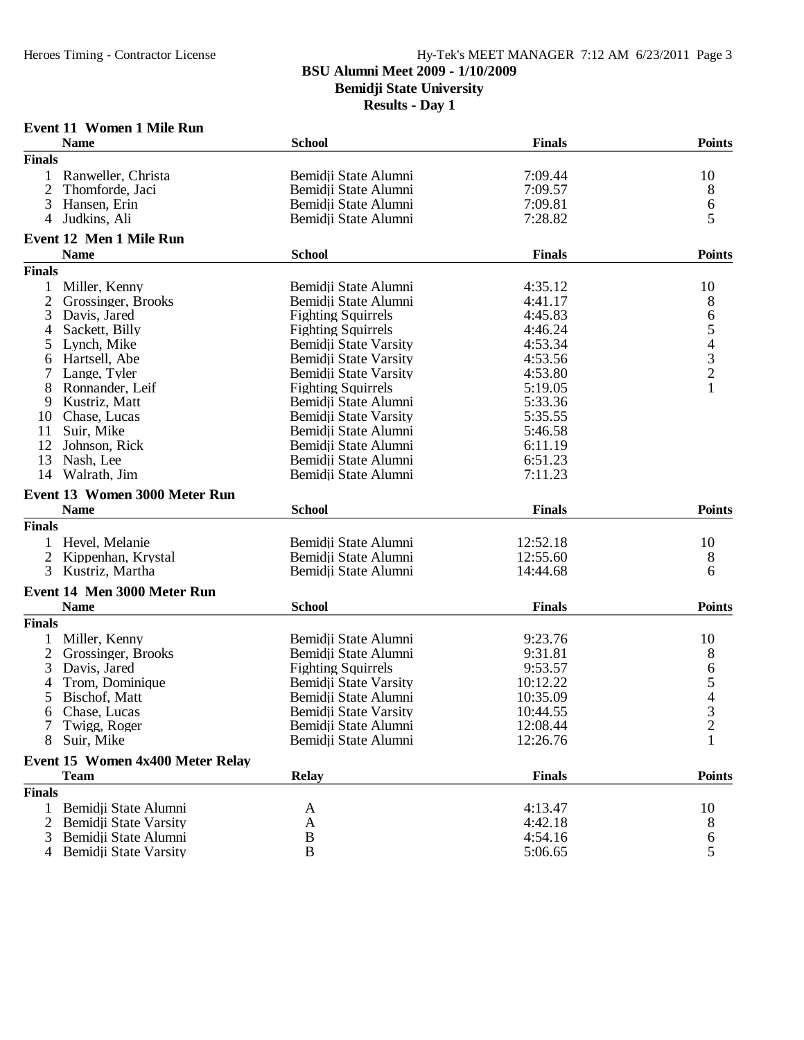**Bemidji State University**

| Event 11 Women 1 Mile Run |  |  |
|---------------------------|--|--|
|                           |  |  |

|                | <b>Name</b>                                     | <b>School</b>             | <b>Finals</b>      | <b>Points</b>  |
|----------------|-------------------------------------------------|---------------------------|--------------------|----------------|
| <b>Finals</b>  |                                                 |                           |                    |                |
|                | Ranweller, Christa                              | Bemidji State Alumni      | 7:09.44            | 10             |
| $\mathfrak{2}$ | Thomforde, Jaci                                 | Bemidji State Alumni      | 7:09.57            | 8              |
| 3              | Hansen, Erin                                    | Bemidji State Alumni      | 7:09.81            | 6              |
| 4              | Judkins, Ali                                    | Bemidji State Alumni      | 7:28.82            | 5              |
|                | Event 12 Men 1 Mile Run                         |                           |                    |                |
|                | <b>Name</b>                                     | <b>School</b>             | <b>Finals</b>      | <b>Points</b>  |
| <b>Finals</b>  |                                                 |                           |                    |                |
|                | Miller, Kenny                                   | Bemidji State Alumni      | 4:35.12            | 10             |
| $\overline{2}$ | Grossinger, Brooks                              | Bemidii State Alumni      | 4:41.17            | 8              |
| 3              | Davis, Jared                                    | <b>Fighting Squirrels</b> | 4:45.83            |                |
| 4              | Sackett, Billy                                  | <b>Fighting Squirrels</b> | 4:46.24            |                |
|                | Lynch, Mike                                     | Bemidji State Varsity     | 4:53.34            | 65432          |
| 5              | Hartsell, Abe                                   |                           | 4:53.56            |                |
| 6              |                                                 | Bemidji State Varsity     |                    |                |
| 7              | Lange, Tyler                                    | Bemidji State Varsity     | 4:53.80            | $\mathbf{1}$   |
| 8              | Ronnander, Leif                                 | <b>Fighting Squirrels</b> | 5:19.05            |                |
| 9              | Kustriz, Matt                                   | Bemidji State Alumni      | 5:33.36            |                |
| 10             | Chase, Lucas                                    | Bemidii State Varsity     | 5:35.55            |                |
| 11             | Suir, Mike                                      | Bemidii State Alumni      | 5:46.58            |                |
| 12             | Johnson, Rick                                   | Bemidji State Alumni      | 6:11.19            |                |
| 13             | Nash, Lee                                       | Bemidji State Alumni      | 6:51.23            |                |
| 14             | Walrath, Jim                                    | Bemidji State Alumni      | 7:11.23            |                |
|                | Event 13 Women 3000 Meter Run                   |                           |                    |                |
|                |                                                 |                           |                    |                |
|                | <b>Name</b>                                     | <b>School</b>             | <b>Finals</b>      | <b>Points</b>  |
| <b>Finals</b>  |                                                 |                           |                    |                |
| 1              | Hevel, Melanie                                  | Bemidji State Alumni      | 12:52.18           | 10             |
| 2              | Kippenhan, Krystal                              | Bemidji State Alumni      | 12:55.60           |                |
| 3              | Kustriz, Martha                                 | Bemidii State Alumni      | 14:44.68           | 8<br>6         |
|                |                                                 |                           |                    |                |
|                | Event 14 Men 3000 Meter Run                     |                           |                    |                |
|                | <b>Name</b>                                     | <b>School</b>             | <b>Finals</b>      | <b>Points</b>  |
| <b>Finals</b>  |                                                 |                           |                    |                |
|                | Miller, Kenny                                   | Bemidji State Alumni      | 9:23.76            | 10             |
| $\overline{2}$ | Grossinger, Brooks                              | Bemidji State Alumni      | 9:31.81            |                |
| 3              | Davis, Jared                                    | <b>Fighting Squirrels</b> | 9:53.57            |                |
| 4              | Trom, Dominique                                 | Bemidji State Varsity     | 10:12.22           |                |
| 5              | Bischof, Matt                                   | Bemidji State Alumni      | 10:35.09           |                |
| 6              | Chase, Lucas                                    | Bemidii State Varsity     | 10:44.55           | 86543          |
|                | 7 Twigg, Roger                                  | Bemidji State Alumni      | 12:08.44           | $\overline{c}$ |
| 8              | Suir, Mike                                      | Bemidji State Alumni      | 12:26.76           | 1              |
|                | Event 15 Women 4x400 Meter Relay                |                           |                    |                |
|                | <b>Team</b>                                     | <b>Relay</b>              | <b>Finals</b>      | <b>Points</b>  |
| <b>Finals</b>  |                                                 |                           |                    |                |
| 1              | Bemidji State Alumni                            | A                         | 4:13.47            | 10             |
| 2              | Bemidji State Varsity                           | A                         | 4:42.18            | 8              |
| 3              | Bemidji State Alumni<br>4 Bemidji State Varsity | B<br>$\, {\bf B}$         | 4:54.16<br>5:06.65 | 6<br>5         |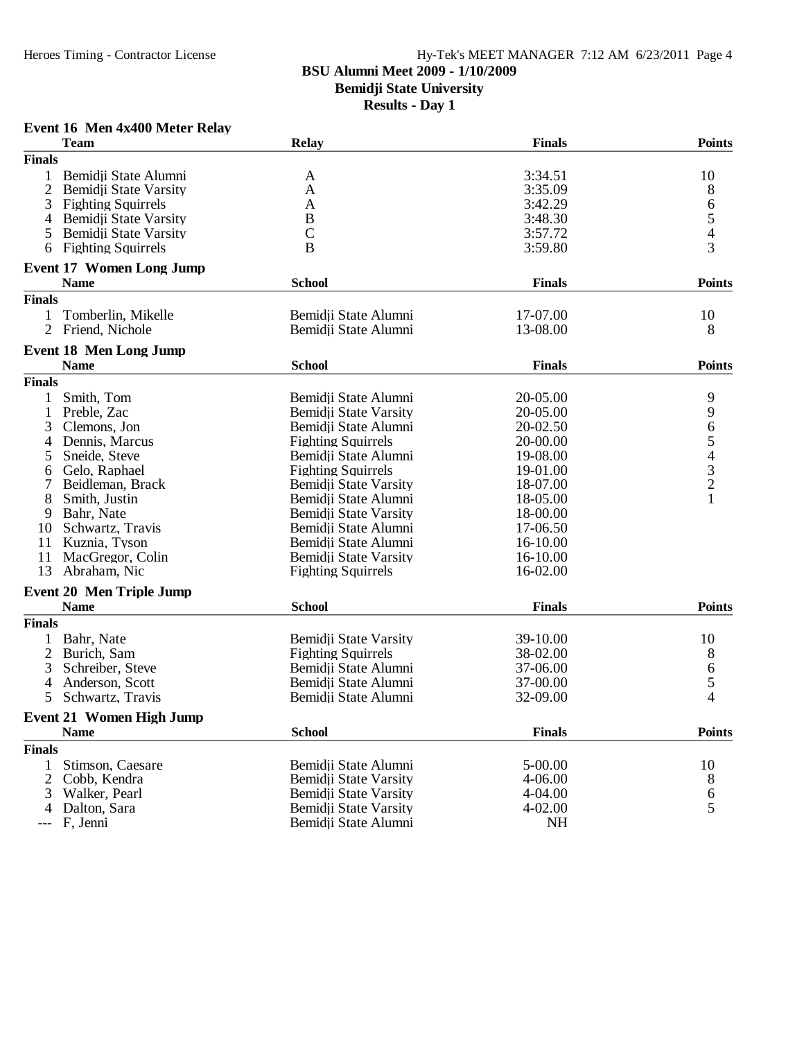## Heroes Timing - Contractor License Hy-Tek's MEET MANAGER 7:12 AM 6/23/2011 Page 4

# **BSU Alumni Meet 2009 - 1/10/2009**

**Bemidji State University**

**Results - Day 1**

## **Event 16 Men 4x400 Meter Relay**

|                | <b>Team</b>                     | <b>Relay</b>              | <b>Finals</b> | <b>Points</b>  |
|----------------|---------------------------------|---------------------------|---------------|----------------|
| <b>Finals</b>  |                                 |                           |               |                |
| 1              | Bemidji State Alumni            | A                         | 3:34.51       | 10             |
| $\overline{2}$ | Bemidji State Varsity           | A                         | 3:35.09       | 8              |
| 3              | <b>Fighting Squirrels</b>       | A                         | 3:42.29       |                |
| 4              | Bemidji State Varsity           | B                         | 3:48.30       | $\frac{6}{5}$  |
| 5              | Bemidji State Varsity           | $\mathcal{C}$             | 3:57.72       |                |
| 6              | <b>Fighting Squirrels</b>       | B                         | 3:59.80       | $\overline{3}$ |
|                | <b>Event 17 Women Long Jump</b> |                           |               |                |
|                | <b>Name</b>                     | <b>School</b>             | <b>Finals</b> | <b>Points</b>  |
| <b>Finals</b>  |                                 |                           |               |                |
| 1              | Tomberlin, Mikelle              | Bemidji State Alumni      | 17-07.00      | 10             |
| $\overline{2}$ | Friend, Nichole                 | Bemidji State Alumni      | 13-08.00      | 8              |
|                | <b>Event 18 Men Long Jump</b>   |                           |               |                |
|                | <b>Name</b>                     | <b>School</b>             | <b>Finals</b> | <b>Points</b>  |
| <b>Finals</b>  |                                 |                           |               |                |
|                | Smith, Tom                      | Bemidji State Alumni      | 20-05.00      | 9              |
| 1              | Preble, Zac                     | Bemidii State Varsity     | 20-05.00      | 9              |
| 3              | Clemons, Jon                    | Bemidji State Alumni      | 20-02.50      |                |
| 4              | Dennis, Marcus                  | <b>Fighting Squirrels</b> | 20-00.00      |                |
| 5              | Sneide, Steve                   | Bemidji State Alumni      | 19-08.00      |                |
| 6              | Gelo, Raphael                   | <b>Fighting Squirrels</b> | 19-01.00      |                |
| 7              | Beidleman, Brack                | Bemidji State Varsity     | 18-07.00      | 65432          |
| 8              | Smith, Justin                   | Bemidji State Alumni      | 18-05.00      | $\mathbf{1}$   |
| 9              | Bahr, Nate                      | Bemidji State Varsity     | 18-00.00      |                |
| 10             | Schwartz, Travis                | Bemidji State Alumni      | 17-06.50      |                |
| 11             | Kuznia, Tyson                   | Bemidji State Alumni      | 16-10.00      |                |
| 11             | MacGregor, Colin                | Bemidji State Varsity     | 16-10.00      |                |
| 13             | Abraham, Nic                    | <b>Fighting Squirrels</b> | 16-02.00      |                |
|                | <b>Event 20 Men Triple Jump</b> |                           |               |                |
|                | <b>Name</b>                     | <b>School</b>             | <b>Finals</b> | <b>Points</b>  |
| <b>Finals</b>  |                                 |                           |               |                |
| 1              | Bahr, Nate                      | Bemidji State Varsity     | 39-10.00      | 10             |
| $\overline{2}$ | Burich, Sam                     | <b>Fighting Squirrels</b> | 38-02.00      | 8              |
| 3              | Schreiber, Steve                | Bemidji State Alumni      | 37-06.00      |                |
| 4              | Anderson, Scott                 | Bemidji State Alumni      | 37-00.00      | $rac{6}{5}$    |
| 5              | Schwartz, Travis                | Bemidji State Alumni      | 32-09.00      |                |
|                | <b>Event 21 Women High Jump</b> |                           |               |                |
|                | <b>Name</b>                     | <b>School</b>             | <b>Finals</b> | <b>Points</b>  |
| <b>Finals</b>  |                                 |                           |               |                |
| 1              | Stimson, Caesare                | Bemidji State Alumni      | 5-00.00       | 10             |
| $\overline{2}$ | Cobb, Kendra                    | Bemidji State Varsity     | 4-06.00       | 8              |
| 3              | Walker, Pearl                   | Bemidji State Varsity     | $4 - 04.00$   | 6              |
| 4              | Dalton, Sara                    | Bemidji State Varsity     | $4 - 02.00$   | 5              |
|                | F, Jenni                        | Bemidji State Alumni      | <b>NH</b>     |                |
|                |                                 |                           |               |                |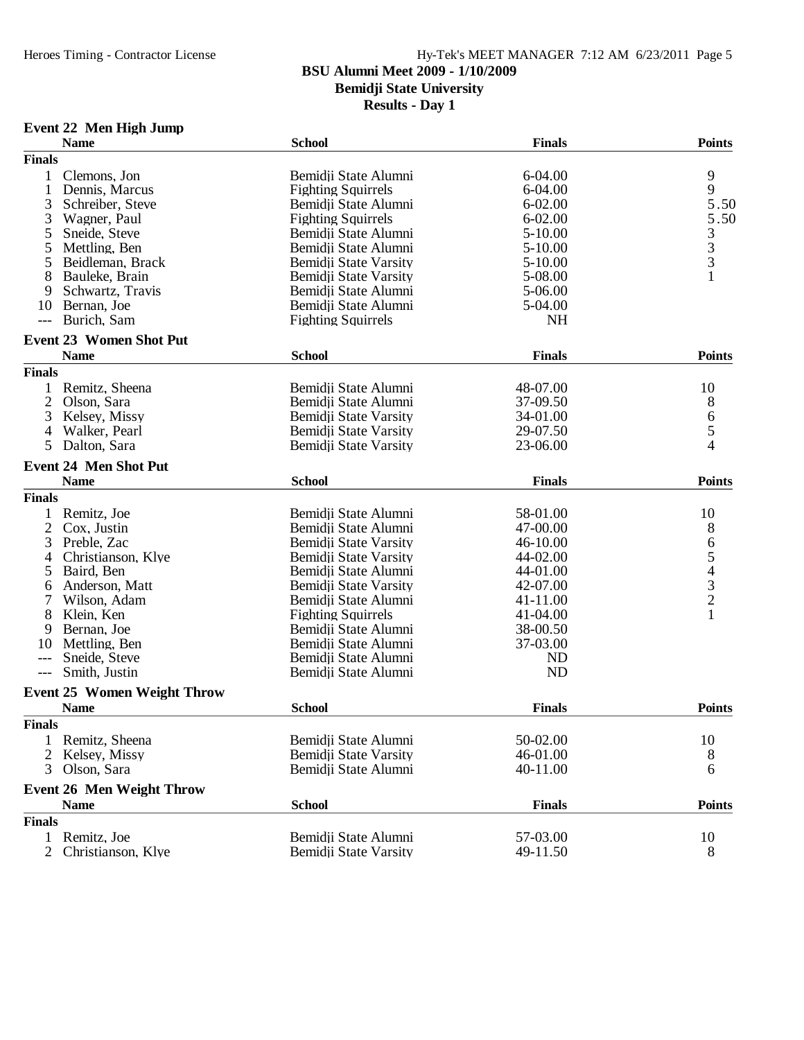**Bemidji State University**

**Results - Day 1**

# **Event 22 Men High Jump**

|                | <b>Name</b>                        | <b>School</b>             | <b>Finals</b> | <b>Points</b>                              |
|----------------|------------------------------------|---------------------------|---------------|--------------------------------------------|
| <b>Finals</b>  |                                    |                           |               |                                            |
| 1              | Clemons, Jon                       | Bemidji State Alumni      | 6-04.00       | 9                                          |
|                | Dennis, Marcus                     | <b>Fighting Squirrels</b> | 6-04.00       | 9                                          |
| 3              | Schreiber, Steve                   | Bemidji State Alumni      | $6 - 02.00$   | 5.50                                       |
| 3              | Wagner, Paul                       | <b>Fighting Squirrels</b> | $6 - 02.00$   | 5.50                                       |
| 5              | Sneide, Steve                      | Bemidji State Alumni      | $5 - 10.00$   |                                            |
| 5              | Mettling, Ben                      | Bemidii State Alumni      | $5 - 10.00$   |                                            |
| 5              | Beidleman, Brack                   | Bemidji State Varsity     | 5-10.00       | $\begin{array}{c} 3 \\ 3 \\ 3 \end{array}$ |
| 8              | Bauleke, Brain                     | Bemidji State Varsity     | 5-08.00       |                                            |
| 9              | Schwartz, Travis                   | Bemidji State Alumni      | 5-06.00       |                                            |
| 10             | Bernan, Joe                        | Bemidji State Alumni      | 5-04.00       |                                            |
|                | Burich, Sam                        | <b>Fighting Squirrels</b> | <b>NH</b>     |                                            |
|                | <b>Event 23 Women Shot Put</b>     |                           |               |                                            |
|                | <b>Name</b>                        | <b>School</b>             | <b>Finals</b> | <b>Points</b>                              |
| <b>Finals</b>  |                                    |                           |               |                                            |
| 1              | Remitz, Sheena                     | Bemidji State Alumni      | 48-07.00      | 10                                         |
| 2              | Olson, Sara                        | Bemidji State Alumni      | 37-09.50      | 8                                          |
| 3              | Kelsey, Missy                      | Bemidji State Varsity     | 34-01.00      |                                            |
| 4              | Walker, Pearl                      | Bemidji State Varsity     | 29-07.50      | $\begin{array}{c} 6 \\ 5 \end{array}$      |
| 5              | Dalton, Sara                       | Bemidji State Varsity     | 23-06.00      | $\overline{4}$                             |
|                | <b>Event 24 Men Shot Put</b>       |                           |               |                                            |
|                | <b>Name</b>                        | <b>School</b>             | <b>Finals</b> | <b>Points</b>                              |
| <b>Finals</b>  |                                    |                           |               |                                            |
| 1              | Remitz, Joe                        | Bemidji State Alumni      | 58-01.00      | 10                                         |
| $\overline{2}$ | Cox, Justin                        | Bemidji State Alumni      | 47-00.00      |                                            |
|                |                                    |                           |               |                                            |
| 3              | Preble, Zac                        | Bemidji State Varsity     | 46-10.00      |                                            |
| 4              | Christianson, Klye                 | Bemidji State Varsity     | 44-02.00      |                                            |
| 5              | Baird, Ben                         | Bemidji State Alumni      | 44-01.00      |                                            |
| 6              | Anderson, Matt                     | Bemidji State Varsity     | 42-07.00      |                                            |
| 7              | Wilson, Adam                       | Bemidii State Alumni      | 41-11.00      | 8654321                                    |
| 8              | Klein, Ken                         | <b>Fighting Squirrels</b> | 41-04.00      |                                            |
| 9              | Bernan, Joe                        | Bemidji State Alumni      | 38-00.50      |                                            |
| 10             | Mettling, Ben                      | Bemidji State Alumni      | 37-03.00      |                                            |
| $---$          | Sneide, Steve                      | Bemidji State Alumni      | ND            |                                            |
| $---$          | Smith, Justin                      | Bemidji State Alumni      | <b>ND</b>     |                                            |
|                | <b>Event 25 Women Weight Throw</b> |                           |               |                                            |
|                | <b>Name</b>                        | <b>School</b>             | <b>Finals</b> | <b>Points</b>                              |
| <b>Finals</b>  |                                    |                           |               |                                            |
|                | Remitz, Sheena                     | Bemidji State Alumni      | 50-02.00      | 10                                         |
|                | Kelsey, Missy                      | Bemidji State Varsity     | 46-01.00      | 8                                          |
| 3              | Olson, Sara                        | Bemidji State Alumni      | 40-11.00      | 6                                          |
|                | <b>Event 26 Men Weight Throw</b>   |                           |               |                                            |
|                | <b>Name</b>                        | <b>School</b>             | <b>Finals</b> | <b>Points</b>                              |
| <b>Finals</b>  |                                    |                           |               |                                            |
| 1              | Remitz, Joe                        | Bemidji State Alumni      | 57-03.00      | 10                                         |
| $\overline{2}$ | Christianson, Klye                 | Bemidji State Varsity     | 49-11.50      | 8                                          |